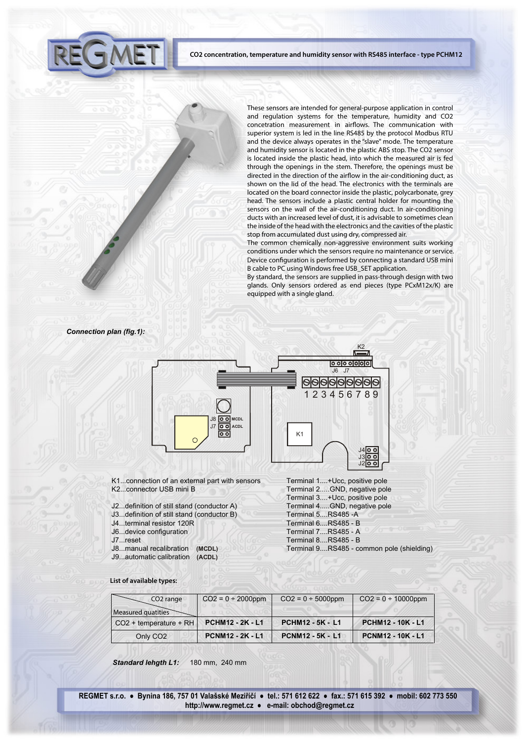These sensors are intended for general-purpose application in control and regulation systems for the temperature, humidity and CO2 concetration measurement in airflows. The communication with superior system is led in the line RS485 by the protocol Modbus RTU and the device always operates in the "slave" mode. The temperature and humidity sensor is located in the plastic ABS stop. The CO2 sensor is located inside the plastic head, into which the measured air is fed through the openings in the stem. Therefore, the openings must be directed in the direction of the airflow in the air-conditioning duct, as shown on the lid of the head. The electronics with the terminals are located on the board connector inside the plastic, polycarbonate, grey head. The sensors include a plastic central holder for mounting the sensors on the wall of the air-conditioning duct. In air-conditioning ducts with an increased level of dust, it is advisable to sometimes clean the inside of the head with the electronics and the cavities of the plastic stop from accumulated dust using dry, compressed air.

The common chemically non-aggressive environment suits working conditions under which the sensors require no maintenance or service. Device configuration is performed by connecting a standard USB mini B cable to PC using Windows free USB\_SET application.

By standard, the sensors are supplied in pass-through design with two glands. Only sensors ordered as end pieces (type PCxM12x/K) are equipped with a single gland.



- K1...connection of an external part with sensors K2...connector USB mini B
- J2...definition of still stand (conductor A)
- J3...definition of still stand (conductor B)
- J4...terminal resistor 120R
- J6...device configuration
- J7...reset
- J8...manual recalibration
- J9...automatic calibration **(ACDL)**

Terminal 1....+Ucc, positive pole Terminal 2.....GND, negative pole Terminal 3....+Ucc, positive pole Terminal 4.....GND, negative pole Terminal 5....RS485 -A Terminal 6....RS485 - B Terminal 7....RS485 - A Terminal 8....RS485 - B **(MCDL)** Terminal 9....RS485 - common pole (shielding)

**List of available types:**

| CO <sub>2</sub> range    | $CO2 = 0 \div 2000$ ppm | $CO2 = 0 \div 5000$ ppm | $CO2 = 0 \div 10000$ ppm |
|--------------------------|-------------------------|-------------------------|--------------------------|
| Measured quatities       |                         |                         |                          |
| $CO2 + temperature + RH$ | <b>PCHM12 - 2K - L1</b> | <b>PCHM12 - 5K - L1</b> | PCHM12 - 10K - L1        |
| Only CO <sub>2</sub>     | <b>PCNM12 - 2K - L1</b> | <b>PCNM12 - 5K - L1</b> | <b>PCNM12 - 10K - L1</b> |

*Standard lehgth L1:* 180 mm, 240 mm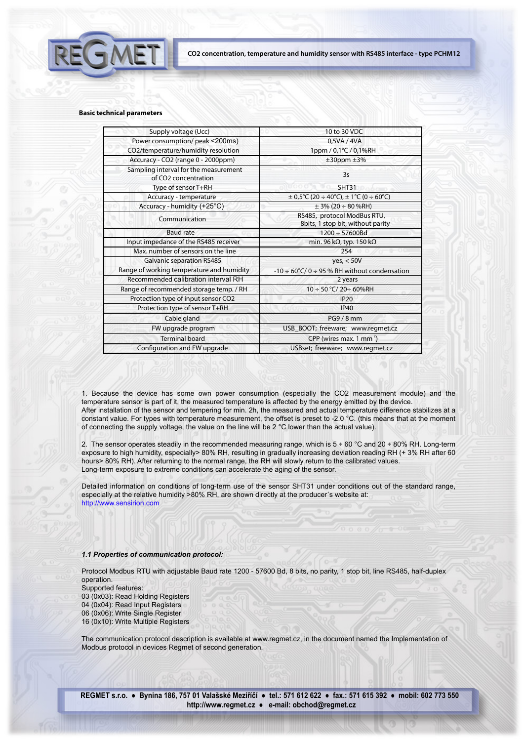## **Basic technical parameters**

| Supply voltage (Ucc)                                                      | 10 to 30 VDC                                                     |
|---------------------------------------------------------------------------|------------------------------------------------------------------|
| Power consumption/ peak <200ms)                                           | 0.5VA / 4VA                                                      |
| CO2/temperature/humidity resolution                                       | 1ppm / 0,1°C / 0,1%RH                                            |
| Accuracy - CO2 (range 0 - 2000ppm)                                        | $±30$ ppm $±3%$                                                  |
| Sampling interval for the measurement<br>of CO <sub>2</sub> concentration | 3s                                                               |
| Type of sensor T+RH                                                       | SHT31                                                            |
| Accuracy - temperature                                                    | $\pm$ 0,5°C (20 ÷ 40°C), $\pm$ 1°C (0 ÷ 60°C)                    |
| Accuracy - humidity (+25°C)                                               | $\pm$ 3% (20 $\div$ 80 %RH)                                      |
| Communication                                                             | RS485, protocol ModBus RTU,<br>8bits, 1 stop bit, without parity |
| <b>Baud rate</b>                                                          | $1200 \div 57600$ Bd                                             |
| Input impedance of the RS485 receiver                                     | min. 96 k $\Omega$ , typ. 150 k $\Omega$                         |
| Max, number of sensors on the line                                        | 254                                                              |
| <b>Galvanic separation RS485</b>                                          | yes, < 50V                                                       |
| Range of working temperature and humidity                                 | $-10 \div 60^{\circ}$ C/ 0 $\div$ 95 % RH without condensation   |
| Recommended calibration interval RH                                       | 2 years                                                          |
| Range of recommended storage temp. / RH                                   | 10 ÷ 50 °C/ 20 ÷ 60%RH                                           |
| Protection type of input sensor CO2                                       | <b>IP20</b>                                                      |
| Protection type of sensor T+RH                                            | <b>IP40</b>                                                      |
| Cable gland                                                               | PG9 / 8 mm                                                       |
| FW upgrade program                                                        | USB_BOOT; freeware; www.regmet.cz                                |
| <b>Terminal board</b>                                                     | CPP (wires max. 1 mm <sup>2</sup> )                              |
| Configuration and FW upgrade                                              | USBset; freeware; www.regmet.cz                                  |

1. Because the device has some own power consumption (especially the CO2 measurement module) and the temperature sensor is part of it, the measured temperature is affected by the energy emitted by the device. After installation of the sensor and tempering for min. 2h, the measured and actual temperature difference stabilizes at a constant value. For types with temperature measurement, the offset is preset to -2.0 °C. (this means that at the moment of connecting the supply voltage, the value on the line will be 2 °C lower than the actual value).

2. The sensor operates steadily in the recommended measuring range, which is 5 + 60 °C and 20 + 80% RH. Long-term exposure to high humidity, especially> 80% RH, resulting in gradually increasing deviation reading RH (+ 3% RH after 60 hours> 80% RH). After returning to the normal range, the RH will slowly return to the calibrated values. Long-term exposure to extreme conditions can accelerate the aging of the sensor.

Detailed information on conditions of long-term use of the sensor SHT31 under conditions out of the standard range, especially at the relative humidity >80% RH, are shown directly at the producer´s website at: http://www.sensirion.com

## *1.1 Properties of communication protocol:*

Protocol Modbus RTU with adjustable Baud rate 1200 - 57600 Bd, 8 bits, no parity, 1 stop bit, line RS485, half-duplex operation.

Supported features: 03 (0x03): Read Holding Registers 04 (0x04): Read Input Registers 06 (0x06): Write Single Register

16 (0x10): Write Multiple Registers

The communication protocol description is available at www.regmet.cz, in the document named the Implementation of Modbus protocol in devices Regmet of second generation.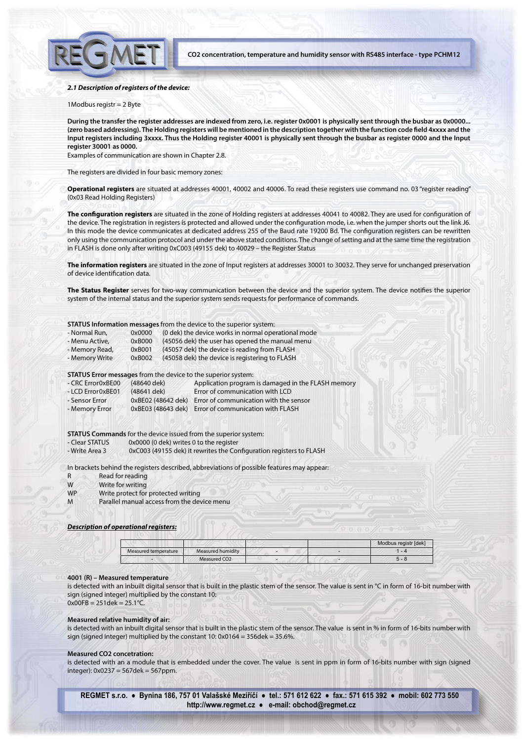

### *2.1 Description of registers of the device:*

## 1Modbus registr = 2 Byte

**During the transfer the register addresses are indexed from zero, i.e. register 0x0001 is physically sent through the busbar as 0x0000...**  (zero based addressing). The Holding registers will be mentioned in the description together with the function code field 4xxxx and the **Input registers including 3xxxx. Thus the Holding register 40001 is physically sent through the busbar as register 0000 and the Input register 30001 as 0000.**

Examples of communication are shown in Chapter 2.8.

The registers are divided in four basic memory zones:

**Operational registers** are situated at addresses 40001, 40002 and 40006. To read these registers use command no. 03 "register reading" (0x03 Read Holding Registers)

The configuration registers are situated in the zone of Holding registers at addresses 40041 to 40082. They are used for configuration of the device. The registration in registers is protected and allowed under the configuration mode, i.e. when the jumper shorts out the link J6. In this mode the device communicates at dedicated address 255 of the Baud rate 19200 Bd. The conguration registers can be rewritten only using the communication protocol and under the above stated conditions. The change of setting and at the same time the registration in FLASH is done only after writing 0xC003 (49155 dek) to 40029 – the Register Status

**The information registers** are situated in the zone of Input registers at addresses 30001 to 30032. They serve for unchanged preservation of device identification data.

The Status Register serves for two-way communication between the device and the superior system. The device notifies the superior system of the internal status and the superior system sends requests for performance of commands.

## **STATUS Information messages** from the device to the superior system:

- Normal Run, 0x0000 (0 dek) the device works in normal operational mode<br>- Menu Active, 0xB000 (45056 dek) the user has opened the manual menu
- (45056 dek) the user has opened the manual menu
- Memory Read, 0xB001 (45057 dek) the device is reading from FLASH
- Memory Write 0xB002 (45058 dek) the device is registering to FLASH

### **STATUS Error messages** from the device to the superior system:

| - CRC Error0xBE00 | (48640 dek)        | Application program is damaged in the FLASH memory   |
|-------------------|--------------------|------------------------------------------------------|
| - LCD Error0xBE01 | (48641 dek)        | Error of communication with LCD                      |
| - Sensor Error    | 0xBE02 (48642 dek) | Error of communication with the sensor               |
| - Memory Error    |                    | 0xBE03 (48643 dek) Error of communication with FLASH |

## **STATUS Commands** for the device issued from the superior system:

- Clear STATUS 0x0000 (0 dek) writes 0 to the register
- Write Area 3 0xC003 (49155 dek) it rewrites the Configuration registers to FLASH

In brackets behind the registers described, abbreviations of possible features may appear:

- R Read for reading
- W<sub>rite</sub> for writing
- WP Write protect for protected writing
- M Parallel manual access from the device menu

# *Description of operational registers:*

|                      |                          |  | Modbus registr [dek] |
|----------------------|--------------------------|--|----------------------|
| Measured temperature | Measured humidity        |  | - 4                  |
|                      | Measured CO <sub>2</sub> |  | ה - ר                |

### **4001 (R) – Measured temperature**

is detected with an inbuilt digital sensor that is built in the plastic stem of the sensor. The value is sent in °C in form of 16-bit number with sign (signed integer) multiplied by the constant 10:  $0x00FB = 251$ dek =  $25.1^{\circ}$ C.

### **Measured relative humidity of air:**

is detected with an inbuilt digital sensor that is built in the plastic stem of the sensor. The value is sent in % in form of 16-bits number with sign (signed integer) multiplied by the constant 10: 0x0164 = 356dek = 35.6%.

#### **Measured CO2 concetration:**

is detected with an a module that is embedded under the cover. The value is sent in ppm in form of 16-bits number with sign (signed integer): 0x0237 = 567dek = 567ppm.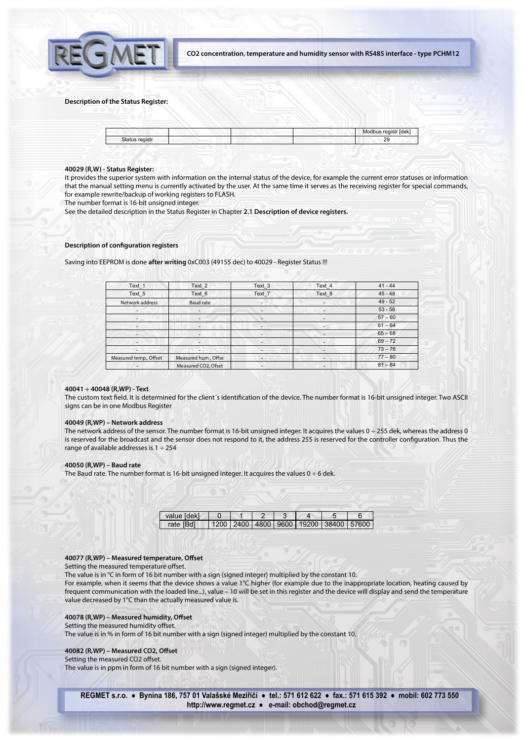

### **Description of the Status Register:**

|                | Modbus registr [dek] |
|----------------|----------------------|
| Status registr | c٠                   |

## **40029 (R,W) - Status Register:**

It provides the superior system with information on the internal status of the device, for example the current error statuses or information that the manual setting menu is currently activated by the user. At the same time it serves as the receiving register for special commands, for example rewrite/backup of working registers to FLASH.

The number format is 16-bit unsigned integer.

See the detailed description in the Status Register in Chapter **2.1 Description of device registers.**

# **Description of configuration registers**

### Saving into EEPROM is done **after writing** 0xC003 (49155 dec) to 40029 - Register Status !!!

| Text 1                   | Text <sub>2</sub>        | Text_3                   | Text 4                   | $41 - 44$ |
|--------------------------|--------------------------|--------------------------|--------------------------|-----------|
| Text 5                   | Text 6                   | Text <sub>7</sub>        | Text 8                   | $45 - 48$ |
| Network address          | <b>Baud rate</b>         | $\overline{\phantom{a}}$ | $\overline{\phantom{a}}$ | $49 - 52$ |
|                          |                          | $\overline{\phantom{a}}$ | $\overline{\phantom{a}}$ | $53 - 56$ |
|                          | ٠                        | $\overline{\phantom{a}}$ |                          | $57 - 60$ |
|                          | -                        | $\overline{\phantom{a}}$ | -                        | $61 - 64$ |
| $\overline{\phantom{a}}$ |                          | $\overline{\phantom{a}}$ | $\overline{\phantom{a}}$ | $65 - 68$ |
| $\overline{\phantom{a}}$ | $\overline{\phantom{a}}$ | ٠                        | ٠                        | $69 - 72$ |
| $\overline{\phantom{a}}$ | $\overline{a}$           |                          | $\overline{\phantom{a}}$ | $73 - 76$ |
| Measured temp., Offset   | Measured hum., Offse     | $\overline{\phantom{m}}$ |                          | $77 - 80$ |
| $\overline{\phantom{a}}$ | Measured CO2, Ofset      |                          | ٠                        | $81 - 84$ |

## **40041 ÷ 40048 (R,WP) - Text**

The custom text field. It is determined for the client's identification of the device. The number format is 16-bit unsigned integer. Two ASCII signs can be in one Modbus Register

## **40049 (R,WP) – Network address**

The network address of the sensor. The number format is 16-bit unsigned integer. It acquires the values  $0 \div 255$  dek, whereas the address 0 is reserved for the broadcast and the sensor does not respond to it, the address 255 is reserved for the controller configuration. Thus the range of available addresses is  $1 \div 254$ 

## **40050 (R,WP) – Baud rate**

The Baud rate. The number format is 16-bit unsigned integer. It acquires the values  $0 \div 6$  dek.

| value [dek] |  |  |                                                   |  |
|-------------|--|--|---------------------------------------------------|--|
| rate [Bd]   |  |  | 1200   2400   4800   9600   19200   38400   57600 |  |

### 40077 (R,WP) - Measured temperature, Offset

Setting the measured temperature offset.

The value is in °C in form of 16 bit number with a sign (signed integer) multiplied by the constant 10.

For example, when it seems that the device shows a value 1°C higher (for example due to the inappropriate location, heating caused by frequent communication with the loaded line...), value – 10 will be set in this register and the device will display and send the temperature value decreased by 1°C than the actually measured value is.

## 40078 (R,WP) - Measured humidity, Offset

Setting the measured humidity offset.

The value is in % in form of 16 bit number with a sign (signed integer) multiplied by the constant 10.

#### **40082 (R,WP) – Measured CO2, Offset**

Setting the measured CO2 offset. The value is in ppm in form of 16 bit number with a sign (signed integer).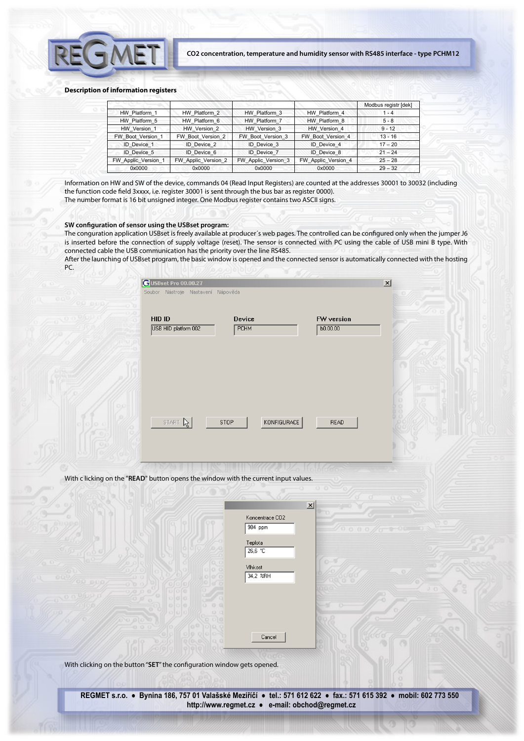

## **Description of information registers**

|                     |                     |                     |                     | Modbus registr [dek] |
|---------------------|---------------------|---------------------|---------------------|----------------------|
| HW Platform 1       | HW Platform 2       | HW Platform 3       | HW Platform 4       | $1 - 4$              |
| HW Platform 5       | HW Platform 6       | HW Platform 7       | HW Platform 8       | $5 - 8$              |
| HW Version 1        | HW Version 2        | HW Version 3        | HW Version 4        | $9 - 12$             |
| FW Boot Version 1   | FW Boot Version 2   | FW Boot Version 3   | FW Boot Version 4   | $13 - 16$            |
| <b>ID</b> Device 1  | <b>ID</b> Device 2  | <b>ID</b> Device 3  | ID Device 4         | $17 - 20$            |
| <b>ID</b> Device 5  | ID Device 6         | <b>ID</b> Device 7  | ID Device 8         | $21 - 24$            |
| FW Applic Version 1 | FW Applic Version 2 | FW Applic Version 3 | FW Applic Version 4 | $25 - 28$            |
| 0x0000              | 0x0000              | 0x0000              | 0x0000              | $29 - 32$            |

Information on HW and SW of the device, commands 04 (Read Input Registers) are counted at the addresses 30001 to 30032 (including the function code field 3xxxx, i.e. register 30001 is sent through the bus bar as register 0000). The number format is 16 bit unsigned integer. One Modbus register contains two ASCII signs.

## **SW configuration of sensor using the USBset program:**

The conguration application USBset is freely available at producer's web pages. The controlled can be configured only when the jumper J6 is inserted before the connection of supply voltage (reset). The sensor is connected with PC using the cable of USB mini B type. With connected cable the USB communication has the priority over the line RS485.

After the launching of USBset program, the basic window is opened and the connected sensor is automatically connected with the hosting PC.

| <b>GUSBset Pro 00.00.27</b><br>Soubor Nástroje Nastavení Nápověda |                              |                               | $\vert x \vert$ |
|-------------------------------------------------------------------|------------------------------|-------------------------------|-----------------|
| <b>HID ID</b><br>USB HID platform 002                             | <b>Device</b><br><b>PCHM</b> | <b>FW</b> version<br>b0.00.00 |                 |
|                                                                   |                              |                               | n               |
|                                                                   |                              |                               | o               |
| START R                                                           | STOP                         | KONFIGURACE<br>READ           |                 |

With c licking on the "**READ**" button opens the window with the current input values.

| Teplota  |  |
|----------|--|
| 26,6 °C  |  |
| Vihkost  |  |
| 34,2 %RH |  |
|          |  |

 $\mathbf{x}$ 

With clicking on the button "SET" the configuration window gets opened.

**REGMET s.r.o. ● Bynina 186, 757 01 Valašské Meziříčí ● tel.: 571 612 622 ● fax.: 571 615 392 ● mobil: 602 773 550 http://www.regmet.cz ● e-mail: obchod@regmet.cz** 

Cancel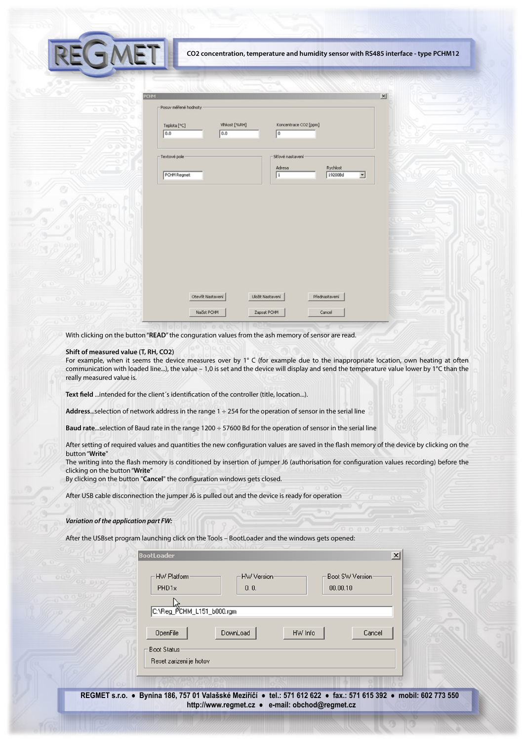

 $\vert x \vert$ 

| Posuv měřené hodnoty |                      |                  |                             |               |          |   |
|----------------------|----------------------|------------------|-----------------------------|---------------|----------|---|
| Teplota [°C]<br>0.0  | Vihkost [%RH]<br>0.0 |                  | Koncentrace CO2 [ppm]<br>٥  |               |          |   |
| Textové pole         |                      |                  | Sit'ové nastavení<br>Adresa |               | Rychlost |   |
| PCHM Regmet          |                      |                  | 1                           |               | 19200Bd  | ≖ |
|                      |                      |                  |                             |               |          |   |
|                      | Otevřík Nastavení    | Uložit Nastavení |                             | Přednastavení |          |   |
|                      | Načíst PCHM          | Zapsat PCHM      |                             | Cancel        |          |   |

With clicking on the button "**READ**" the conguration values from the ash memory of sensor are read.

### **Shift of measured value (T, RH, CO2)**

For example, when it seems the device measures over by 1° C (for example due to the inappropriate location, own heating at often communication with loaded line...), the value – 1,0 is set and the device will display and send the temperature value lower by 1°C than the really measured value is.

Text field ...intended for the client's identification of the controller (title, location...).

**Address**...selection of network address in the range 1 ÷ 254 for the operation of sensor in the serial line

**Baud rate**...selection of Baud rate in the range 1200 ÷ 57600 Bd for the operation of sensor in the serial line

After setting of required values and quantities the new configuration values are saved in the flash memory of the device by clicking on the button "**Write**"

The writing into the flash memory is conditioned by insertion of jumper J6 (authorisation for configuration values recording) before the clicking on the button "**Write**"

By clicking on the button "Cancel" the configuration windows gets closed.

After USB cable disconnection the jumper J6 is pulled out and the device is ready for operation

### *Variation of the application part FW:*

After the USBset program launching click on the Tools – BootLoader and the windows gets opened:

| <b>BootLoader</b>                             |                           | $\vert x \vert$                    |
|-----------------------------------------------|---------------------------|------------------------------------|
| HW Platform<br>PHD <sub>1x</sub>              | <b>HW</b> Version<br>0.0. | <b>Boot SW Version</b><br>00.00.10 |
| C:\Reg_PCHM_L151_b000.rgm                     |                           |                                    |
| OpenFile                                      | DownLoad                  | HW Info<br>Cancel                  |
| <b>Boot Status</b><br>Reset zarizeni je hotov |                           |                                    |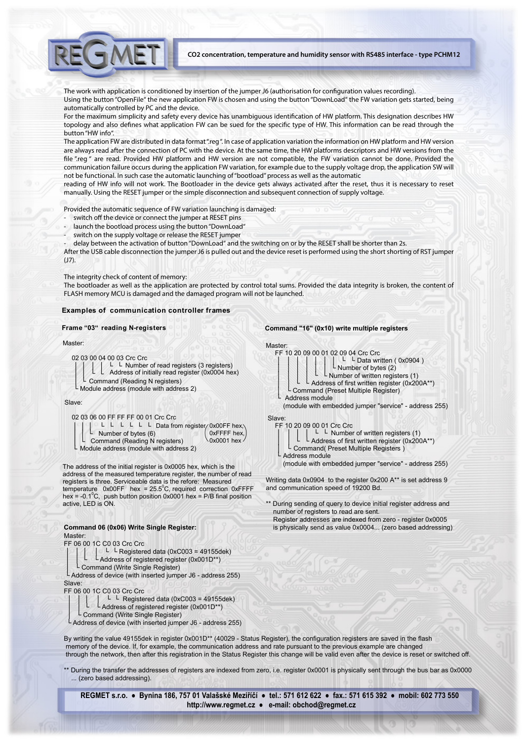The work with application is conditioned by insertion of the jumper J6 (authorisation for conguration values recording). Using the button "OpenFile" the new application FW is chosen and using the button "DownLoad" the FW variation gets started, being automatically controlled by PC and the device.

For the maximum simplicity and safety every device has unambiguous identification of HW platform. This designation describes HW topology and also defines what application FW can be sued for the specific type of HW. This information can be read through the button "HW info".

The application FW are distributed in data format ".reg ". In case of application variation the information on HW platform and HW version are always read after the connection of PC with the device. At the same time, the HW platforms descriptors and HW versions from the file "reg" are read. Provided HW platform and HW version are not compatible, the FW variation cannot be done. Provided the communication failure occurs during the application FW variation, for example due to the supply voltage drop, the application SW will not be functional. In such case the automatic launching of "bootload" process as well as the automatic

reading of HW info will not work. The Bootloader in the device gets always activated after the reset, thus it is necessary to reset manually. Using the RESET jumper or the simple disconnection and subsequent connection of supply voltage.

Provided the automatic sequence of FW variation launching is damaged:

- switch off the device or connect the jumper at RESET pins
- launch the bootload process using the button "DownLoad"
- switch on the supply voltage or release the RESET jumper
- delay between the activation of button "DownLoad" and the switching on or by the RESET shall be shorter than 2s.

After the USB cable disconnection the jumper J6 is pulled out and the device reset is performed using the short shorting of RST jumper  $(17)$ 

The integrity check of content of memory:

The bootloader as well as the application are protected by control total sums. Provided the data integrity is broken, the content of FLASH memory MCU is damaged and the damaged program will not be launched.

### **Examples of communication controller frames**

### **Frame "03" reading N-registers**

## Master:

02 03 00 04 00 03 Crc Crc

- │ │ └ └ Number of read registers (3 registers) │ │
- └ └ Address of initially read register (0x0004 hex) │ │
- Command (Reading N registers)  $\mathbf{r}$
- Module address (module with address 2) └

## Slave:

#### 02 03 06 00 FF FF FF 00 01 Crc Crc

| L L L L L Data from register/0x00FF hex.                        |                   |
|-----------------------------------------------------------------|-------------------|
| $\mathsf{L}\;$ Number of bytes (6)                              | $OxFFFF$ hex,     |
| $L$ Command (Reading N registers)                               | $\log 0001$ hex / |
| $\overline{\phantom{a}}$ Module address (module with address 2) |                   |

The address of the initial register is 0x0005 hex, which is the address of the measured temperature register, the number of read registers is three. Serviceable data is the refore: Measured temperature  $0x00FF$  hex = 25.5°C, required correction 0xFFFF hex = -0.1 $^{\circ}$ C, push button position 0x0001 hex = P/B final position active, LED is ON.

### **Command 06 (0x06) Write Single Register: Master**

FF 06 00 1C C0 03 Crc Crc

- $L L$  Registered data (0xC003 = 49155dek)  $L$  Address of registered register (0x001D\*\*)
- │ └ Command (Write Single Register)

Address of device (with inserted jumper J6 - address 255) Slave:

FF 06 00 1C C0 03 Crc Crc

│ │ │ │ └ └ Registered data (0xC003 = 49155dek)

L Address of registered register (0x001D\*\*)

**Command (Write Single Register)** 

└ Address of device (with inserted jumper J6 - address 255)



## Master:



(module with embedded jumper "service" - address 255) Slave:

- FF 10 20 09 00 01 Crc Crc │ │ │ │ └ └ Number of written registers (1)
	- L Address of first written register (0x200A\*\*)
	- Command( Preset Multiple Registers )
- Address module

(module with embedded jumper "service" - address 255)

Writing data 0x0904 to the register 0x200 A\*\* is set address 9 and communication speed of 19200 Bd.

During sending of query to device initial register address and number of registers to read are sent.

 Register addresses are indexed from zero - register 0x0005 is physically send as value 0x0004... (zero based addressing)

By writing the value 49155dek in register 0x001D\*\* (40029 - Status Register), the configuration registers are saved in the flash memory of the device. If, for example, the communication address and rate pursuant to the previous example are changed through the network, then after this registration in the Status Register this change will be valid even after the device is reset or switched off.

\*\* During the transfer the addresses of registers are indexed from zero, i.e. register 0x0001 is physically sent through the bus bar as 0x0000 ... (zero based addressing).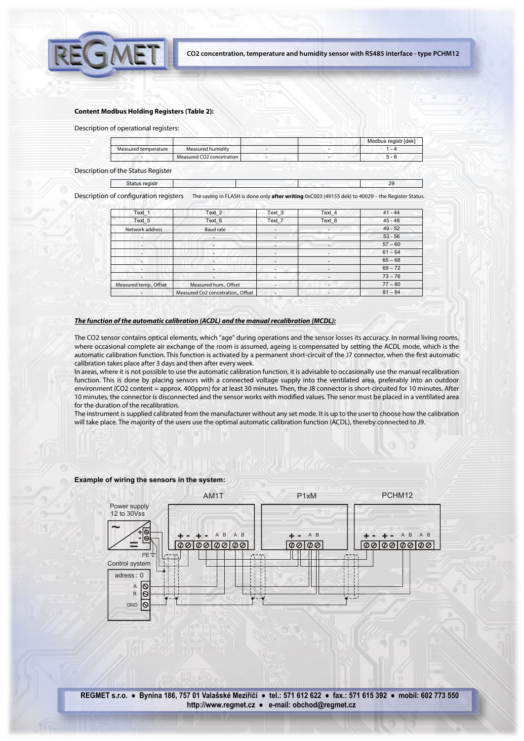

## **Content Modbus Holding Registers (Table 2):**

Description of operational registers:

|                      |                                       |  | Modbus registr [dek] |
|----------------------|---------------------------------------|--|----------------------|
| Measured temperature | Measured humidity                     |  | ۰                    |
|                      | Measured CO <sub>2</sub> concetration |  |                      |

Description of the Status Register

Status registr<sub>29</sub>

Description of configuration registers The saving in FLASH is done only after writing 0xC003 (49155 dek) to 40029 – the Register Status.

| Text_1                 | Text_2                             | Text <sub>3</sub>        | Text_4                   | $41 - 44$ |
|------------------------|------------------------------------|--------------------------|--------------------------|-----------|
| Text 5                 | Text 6                             | Text_7                   | Text 8                   | $45 - 48$ |
| Network address        | Baud rate                          |                          |                          | $49 - 52$ |
| ۰.                     | ٠                                  | $\overline{\phantom{a}}$ | $\overline{\phantom{a}}$ | $53 - 56$ |
| ۰                      | $\overline{\phantom{a}}$           |                          | ٠                        | $57 - 60$ |
| ٠                      |                                    |                          |                          | $61 - 64$ |
|                        | $\overline{\phantom{a}}$           |                          | ۰                        | $65 - 68$ |
| ٠                      |                                    | $\sim$                   |                          | $69 - 72$ |
| ۰.                     | $\overline{\phantom{a}}$           |                          |                          | $73 - 76$ |
| Measured temp., Offset | Measured hum., Offset              | التواكية المستورة        | ×.                       | $77 - 80$ |
|                        | Measured Co2 concetration,, Offset |                          | $\overline{\phantom{a}}$ | $81 - 84$ |

## *The function of the automatic calibration (ACDL) and the manual recalibration (MCDL):*

The CO2 sensor contains optical elements, which "age" during operations and the sensor losses its accuracy. In normal living rooms, where occasional complete air exchange of the room is assumed, ageing is compensated by setting the ACDL mode, which is the automatic calibration function. This function is activated by a permanent short-circuit of the J7 connector, when the first automatic calibration takes place after 3 days and then after every week.

In areas, where it is not possible to use the automatic calibration function, it is advisable to occasionally use the manual recalibration function. This is done by placing sensors with a connected voltage supply into the ventilated area, preferably into an outdoor environment (CO2 content = approx. 400ppm) for at least 30 minutes. Then, the J8 connector is short-circuited for 10 minutes. After 10 minutes, the connector is disconnected and the sensor works with modified values. The senor must be placed in a ventilated area for the duration of the recalibration.

The instrument is supplied calibrated from the manufacturer without any set mode. It is up to the user to choose how the calibration will take place. The majority of the users use the optimal automatic calibration function (ACDL), thereby connected to J9.

## **Example of wiring the sensors in the system:**